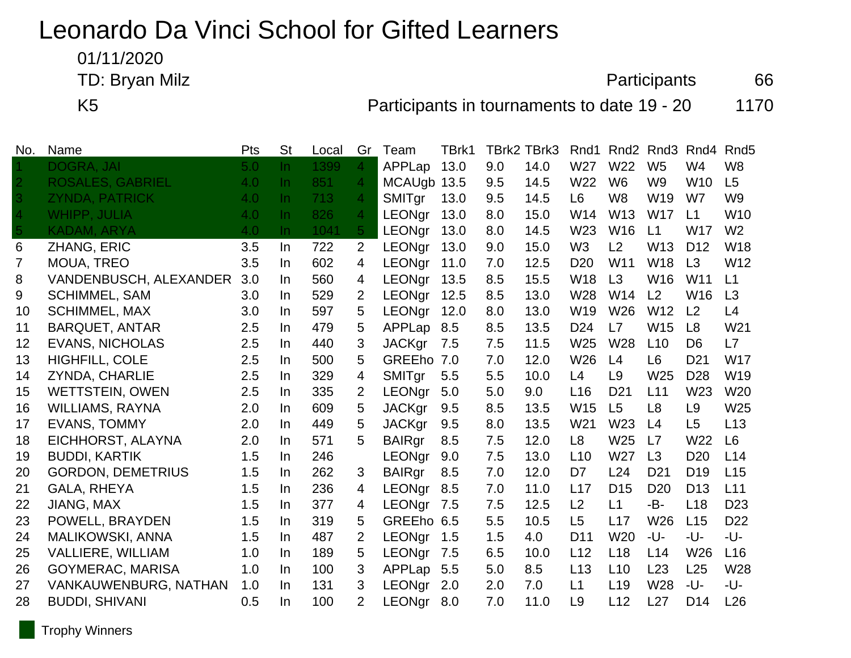## Leonardo Da Vinci School for Gifted Learners

01/11/2020

TD: Bryan Milz 66

K5 **Participants in tournaments to date 19 - 20** 1170

| No.            | Name                          | Pts | <b>St</b> | Local | Gr             | Team          | TBrk1 |     | <b>TBrk2 TBrk3</b> | Rnd1            | Rnd <sub>2</sub> | Rnd <sub>3</sub> | Rnd4            | Rnd <sub>5</sub> |
|----------------|-------------------------------|-----|-----------|-------|----------------|---------------|-------|-----|--------------------|-----------------|------------------|------------------|-----------------|------------------|
|                | <b>DOGRA, JAI</b>             | 5.0 | In.       | 1399  | $\overline{4}$ | APPLap        | 13.0  | 9.0 | 14.0               | W27             | W22              | W <sub>5</sub>   | W4              | W <sub>8</sub>   |
|                | <b>ROSALES, GABRIEL</b>       | 4.0 | $\ln$     | 851   | 4              | MCAUgb 13.5   |       | 9.5 | 14.5               | W22             | W <sub>6</sub>   | W <sub>9</sub>   | W <sub>10</sub> | L5               |
| $\overline{3}$ | <b>ZYNDA, PATRICK</b>         | 4.0 | In.       | 713   | $\overline{4}$ | SMITgr        | 13.0  | 9.5 | 14.5               | L <sub>6</sub>  | W <sub>8</sub>   | W <sub>19</sub>  | W7              | W <sub>9</sub>   |
| 4              | <b>WHIPP, JULIA</b>           | 4.0 | In.       | 826   | $\overline{4}$ | LEONgr        | 13.0  | 8.0 | 15.0               | W14             | W13              | <b>W17</b>       | L1              | W <sub>10</sub>  |
| 5.             | <b>KADAM, ARYA</b>            | 4.0 | $\ln$     | 1041  | $\sqrt{5}$     | LEONgr        | 13.0  | 8.0 | 14.5               | W23             | W16              | L1               | <b>W17</b>      | W <sub>2</sub>   |
| 6              | ZHANG, ERIC                   | 3.5 | In.       | 722   | $\overline{2}$ | LEONgr        | 13.0  | 9.0 | 15.0               | W <sub>3</sub>  | L2               | W13              | D <sub>12</sub> | W18              |
| 7              | <b>MOUA, TREO</b>             | 3.5 | In.       | 602   | 4              | LEONgr        | 11.0  | 7.0 | 12.5               | D <sub>20</sub> | W11              | <b>W18</b>       | L3              | W12              |
| 8              | <b>VANDENBUSCH, ALEXANDER</b> | 3.0 | In.       | 560   | 4              | LEONgr        | 13.5  | 8.5 | 15.5               | W <sub>18</sub> | L3               | W16              | W11             | L1               |
| 9              | <b>SCHIMMEL, SAM</b>          | 3.0 | In.       | 529   | 2              | <b>LEONgr</b> | 12.5  | 8.5 | 13.0               | W28             | W14              | L2               | W16             | L3               |
| 10             | <b>SCHIMMEL, MAX</b>          | 3.0 | In.       | 597   | 5              | LEONgr        | 12.0  | 8.0 | 13.0               | W <sub>19</sub> | W26              | W <sub>12</sub>  | L <sub>2</sub>  | L4               |
| 11             | <b>BARQUET, ANTAR</b>         | 2.5 | In.       | 479   | 5              | APPLap        | 8.5   | 8.5 | 13.5               | D <sub>24</sub> | L7               | W15              | L8              | W <sub>21</sub>  |
| 12             | <b>EVANS, NICHOLAS</b>        | 2.5 | In.       | 440   | 3              | <b>JACKgr</b> | 7.5   | 7.5 | 11.5               | W <sub>25</sub> | W28              | L10              | D <sub>6</sub>  | L7               |
| 13             | <b>HIGHFILL, COLE</b>         | 2.5 | In.       | 500   | 5              | GREEho 7.0    |       | 7.0 | 12.0               | W26             | L4               | L <sub>6</sub>   | D <sub>21</sub> | <b>W17</b>       |
| 14             | <b>ZYNDA, CHARLIE</b>         | 2.5 | In.       | 329   | 4              | SMITgr        | 5.5   | 5.5 | 10.0               | L4              | L <sub>9</sub>   | W25              | D <sub>28</sub> | W19              |
| 15             | <b>WETTSTEIN, OWEN</b>        | 2.5 | In.       | 335   | $\overline{2}$ | <b>LEONgr</b> | 5.0   | 5.0 | 9.0                | L16             | D <sub>21</sub>  | L11              | W23             | W <sub>20</sub>  |
| 16             | <b>WILLIAMS, RAYNA</b>        | 2.0 | In.       | 609   | 5              | <b>JACKgr</b> | 9.5   | 8.5 | 13.5               | W15             | L5               | L <sub>8</sub>   | L <sub>9</sub>  | W25              |
| 17             | <b>EVANS, TOMMY</b>           | 2.0 | In.       | 449   | 5              | <b>JACKgr</b> | 9.5   | 8.0 | 13.5               | W <sub>21</sub> | W <sub>23</sub>  | L4               | L5              | L13              |
| 18             | EICHHORST, ALAYNA             | 2.0 | In.       | 571   | 5              | <b>BAIRgr</b> | 8.5   | 7.5 | 12.0               | L <sub>8</sub>  | W25              | L7               | W22             | L <sub>6</sub>   |
| 19             | <b>BUDDI, KARTIK</b>          | 1.5 | In.       | 246   |                | <b>LEONgr</b> | 9.0   | 7.5 | 13.0               | L10             | W27              | L3               | D <sub>20</sub> | L14              |
| 20             | <b>GORDON, DEMETRIUS</b>      | 1.5 | In.       | 262   | 3              | <b>BAIRgr</b> | 8.5   | 7.0 | 12.0               | D7              | L24              | D <sub>21</sub>  | D <sub>19</sub> | L15              |
| 21             | <b>GALA, RHEYA</b>            | 1.5 | In.       | 236   | 4              | <b>LEONgr</b> | 8.5   | 7.0 | 11.0               | L17             | D <sub>15</sub>  | D <sub>20</sub>  | D <sub>13</sub> | L11              |
| 22             | <b>JIANG, MAX</b>             | 1.5 | In.       | 377   | 4              | <b>LEONgr</b> | 7.5   | 7.5 | 12.5               | L2              | L1               | -B-              | L18             | D <sub>23</sub>  |
| 23             | POWELL, BRAYDEN               | 1.5 | In.       | 319   | 5              | GREEho 6.5    |       | 5.5 | 10.5               | L <sub>5</sub>  | L17              | W26              | L15             | D <sub>22</sub>  |
| 24             | MALIKOWSKI, ANNA              | 1.5 | In.       | 487   | 2              | <b>LEONgr</b> | 1.5   | 1.5 | 4.0                | D11             | W <sub>20</sub>  | -U-              | -U-             | -U-              |
| 25             | <b>VALLIERE, WILLIAM</b>      | 1.0 | In.       | 189   | 5              | LEONgr        | 7.5   | 6.5 | 10.0               | L12             | L <sub>18</sub>  | L14              | W26             | L16              |
| 26             | <b>GOYMERAC, MARISA</b>       | 1.0 | In.       | 100   | 3              | APPLap        | 5.5   | 5.0 | 8.5                | L13             | L10              | L23              | L25             | W28              |
| 27             | VANKAUWENBURG, NATHAN         | 1.0 | In.       | 131   | 3              | <b>LEONgr</b> | 2.0   | 2.0 | 7.0                | L1              | L <sub>19</sub>  | W28              | -U-             | -U-              |
| 28             | <b>BUDDI, SHIVANI</b>         | 0.5 | In.       | 100   | $\overline{2}$ | <b>LEONgr</b> | 8.0   | 7.0 | 11.0               | L <sub>9</sub>  | L12              | L27              | D <sub>14</sub> | L26              |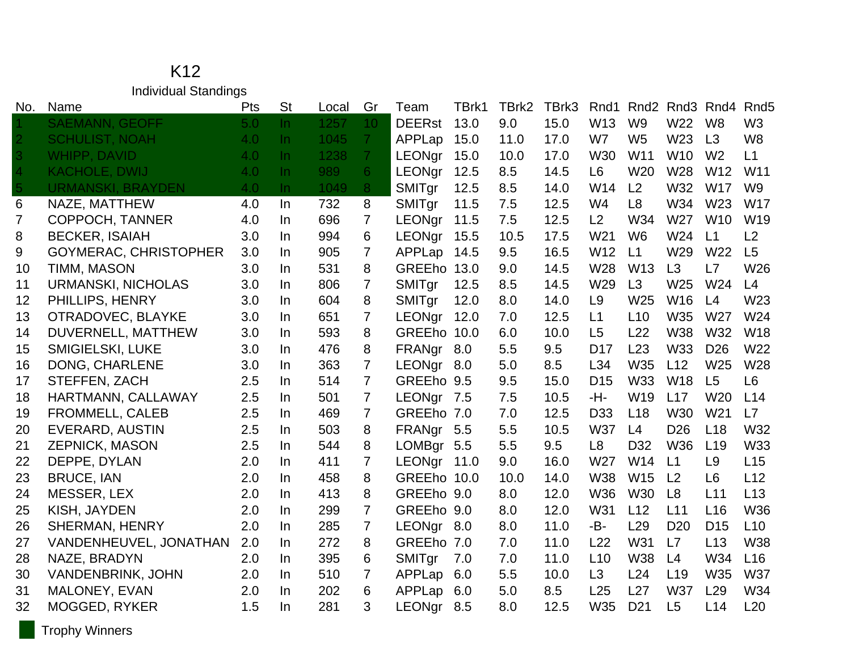K12 Individual Standings

| No.            | Name                         | Pts              | <b>St</b> | Local | Gr              | Team          | TBrk1 | TBrk2 | TBrk3 | Rnd1            | Rnd <sub>2</sub> |                 | Rnd <sub>3</sub> Rnd <sub>4</sub> | Rnd <sub>5</sub> |
|----------------|------------------------------|------------------|-----------|-------|-----------------|---------------|-------|-------|-------|-----------------|------------------|-----------------|-----------------------------------|------------------|
|                | <b>SAEMANN, GEOFF</b>        | 5.0 <sub>1</sub> | $\ln$     | 1257  | 10 <sup>°</sup> | <b>DEERst</b> | 13.0  | 9.0   | 15.0  | W13             | W <sub>9</sub>   | W22             | W <sub>8</sub>                    | W <sub>3</sub>   |
| $\overline{2}$ | <b>SCHULIST, NOAH</b>        | 4.0              | $\ln$     | 1045  | 7 <sup>1</sup>  | APPLap        | 15.0  | 11.0  | 17.0  | W7              | W <sub>5</sub>   | W <sub>23</sub> | L3                                | W <sub>8</sub>   |
| $\overline{3}$ | <b>WHIPP, DAVID</b>          | 4.0              | $\ln$     | 1238  | 7 <sup>1</sup>  | LEONgr        | 15.0  | 10.0  | 17.0  | W30             | W11              | W <sub>10</sub> | W <sub>2</sub>                    | L1               |
| 4              | <b>KACHOLE, DWIJ</b>         | 4.0              | $\ln$     | 989   | 6 <sup>1</sup>  | LEONgr        | 12.5  | 8.5   | 14.5  | L <sub>6</sub>  | W20              | W28             | W <sub>12</sub>                   | W11              |
| 5              | <b>URMANSKI, BRAYDEN</b>     | 4.0              | In        | 1049  | 8               | SMITgr        | 12.5  | 8.5   | 14.0  | W14             | L2               | W32             | <b>W17</b>                        | W <sub>9</sub>   |
| 6              | NAZE, MATTHEW                | 4.0              | In        | 732   | 8               | SMITgr        | 11.5  | 7.5   | 12.5  | W4              | L <sub>8</sub>   | W34             | W23                               | <b>W17</b>       |
| $\overline{7}$ | COPPOCH, TANNER              | 4.0              | $\ln$     | 696   | $\overline{7}$  | <b>LEONgr</b> | 11.5  | 7.5   | 12.5  | L2              | W34              | W27             | <b>W10</b>                        | W19              |
| 8              | <b>BECKER, ISAIAH</b>        | 3.0              | In        | 994   | 6               | LEONgr        | 15.5  | 10.5  | 17.5  | W21             | W <sub>6</sub>   | W24             | L1                                | L2               |
| 9              | <b>GOYMERAC, CHRISTOPHER</b> | 3.0              | In        | 905   | 7               | APPLap        | 14.5  | 9.5   | 16.5  | W12             | L1               | W29             | W22                               | L5               |
| 10             | TIMM, MASON                  | 3.0              | In        | 531   | 8               | GREEho 13.0   |       | 9.0   | 14.5  | W28             | W <sub>13</sub>  | L3              | L7                                | W26              |
| 11             | <b>URMANSKI, NICHOLAS</b>    | 3.0              | In.       | 806   | $\overline{7}$  | SMITgr        | 12.5  | 8.5   | 14.5  | W <sub>29</sub> | L3               | W25             | W <sub>24</sub>                   | L4               |
| 12             | PHILLIPS, HENRY              | 3.0              | In        | 604   | 8               | SMITgr        | 12.0  | 8.0   | 14.0  | L <sub>9</sub>  | W25              | W16             | L4                                | W23              |
| 13             | OTRADOVEC, BLAYKE            | 3.0              | $\ln$     | 651   | $\overline{7}$  | LEONgr        | 12.0  | 7.0   | 12.5  | L1              | L10              | W35             | W <sub>27</sub>                   | W24              |
| 14             | DUVERNELL, MATTHEW           | 3.0              | In.       | 593   | 8               | GREEho 10.0   |       | 6.0   | 10.0  | L5              | L22              | <b>W38</b>      | W32                               | <b>W18</b>       |
| 15             | <b>SMIGIELSKI, LUKE</b>      | 3.0              | In        | 476   | 8               | FRANgr 8.0    |       | 5.5   | 9.5   | D <sub>17</sub> | L23              | W33             | D <sub>26</sub>                   | W22              |
| 16             | DONG, CHARLENE               | 3.0              | In.       | 363   | $\overline{7}$  | LEONgr        | 8.0   | 5.0   | 8.5   | L34             | W35              | L12             | W25                               | W28              |
| 17             | STEFFEN, ZACH                | 2.5              | In        | 514   | $\overline{7}$  | GREEho 9.5    |       | 9.5   | 15.0  | D <sub>15</sub> | W33              | <b>W18</b>      | L5                                | L <sub>6</sub>   |
| 18             | HARTMANN, CALLAWAY           | 2.5              | In.       | 501   | $\overline{7}$  | LEONgr 7.5    |       | 7.5   | 10.5  | -H-             | W19              | L17             | W <sub>20</sub>                   | L14              |
| 19             | <b>FROMMELL, CALEB</b>       | 2.5              | In        | 469   | $\overline{7}$  | GREEho 7.0    |       | 7.0   | 12.5  | D <sub>33</sub> | L18              | <b>W30</b>      | W <sub>21</sub>                   | L7               |
| 20             | EVERARD, AUSTIN              | 2.5              | In.       | 503   | 8               | FRANgr 5.5    |       | 5.5   | 10.5  | <b>W37</b>      | L4               | D <sub>26</sub> | L18                               | W32              |
| 21             | <b>ZEPNICK, MASON</b>        | 2.5              | In        | 544   | 8               | LOMBgr 5.5    |       | 5.5   | 9.5   | L <sub>8</sub>  | D32              | <b>W36</b>      | L19                               | W33              |
| 22             | DEPPE, DYLAN                 | 2.0              | In        | 411   | 7               | <b>LEONgr</b> | 11.0  | 9.0   | 16.0  | W27             | W14              | L1              | L9                                | L15              |
| 23             | <b>BRUCE, IAN</b>            | 2.0              | In        | 458   | 8               | GREEho 10.0   |       | 10.0  | 14.0  | W38             | W15              | L <sub>2</sub>  | L <sub>6</sub>                    | L12              |
| 24             | MESSER, LEX                  | 2.0              | In        | 413   | 8               | GREEho 9.0    |       | 8.0   | 12.0  | <b>W36</b>      | <b>W30</b>       | L8              | L11                               | L13              |
| 25             | KISH, JAYDEN                 | 2.0              | In.       | 299   | $\overline{7}$  | GREEho 9.0    |       | 8.0   | 12.0  | W31             | L12              | L11             | L16                               | W36              |
| 26             | <b>SHERMAN, HENRY</b>        | 2.0              | In        | 285   | $\overline{7}$  | LEONgr 8.0    |       | 8.0   | 11.0  | -B-             | L <sub>29</sub>  | D <sub>20</sub> | D <sub>15</sub>                   | L10              |
| 27             | VANDENHEUVEL, JONATHAN       | 2.0              | In.       | 272   | 8               | GREEho 7.0    |       | 7.0   | 11.0  | L22             | W31              | L7              | L13                               | <b>W38</b>       |
| 28             | NAZE, BRADYN                 | 2.0              | In        | 395   | 6               | SMITgr        | 7.0   | 7.0   | 11.0  | L10             | <b>W38</b>       | L4              | W34                               | L <sub>16</sub>  |
| 30             | <b>VANDENBRINK, JOHN</b>     | 2.0              | In.       | 510   | $\overline{7}$  | APPLap        | 6.0   | 5.5   | 10.0  | L3              | L24              | L <sub>19</sub> | W35                               | <b>W37</b>       |
| 31             | MALONEY, EVAN                | 2.0              | In.       | 202   | 6               | APPLap        | 6.0   | 5.0   | 8.5   | L25             | L27              | <b>W37</b>      | L <sub>29</sub>                   | W34              |
| 32             | <b>MOGGED, RYKER</b>         | 1.5              | In        | 281   | 3               | <b>LEONgr</b> | 8.5   | 8.0   | 12.5  | W35             | D <sub>21</sub>  | L5              | L14                               | L20              |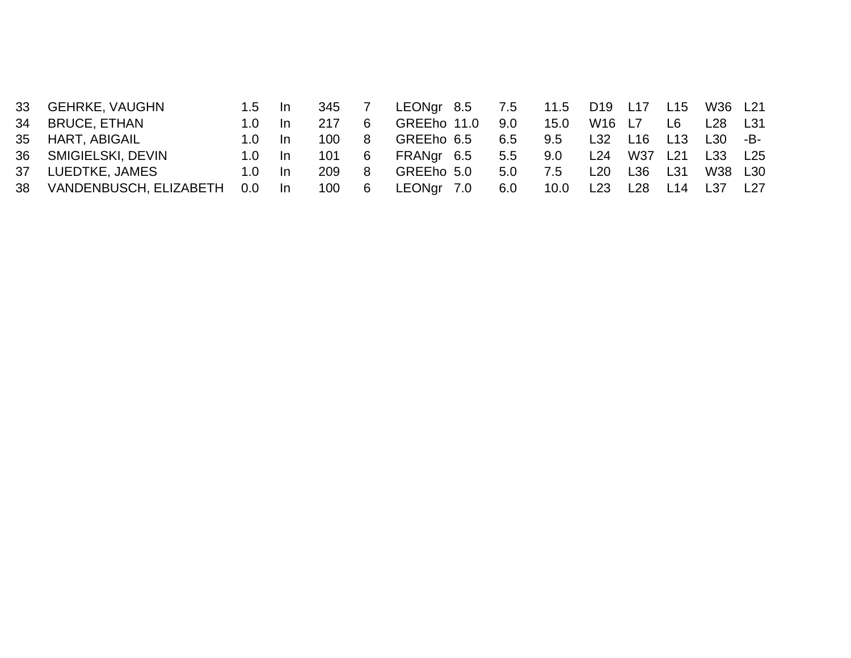|                                                                                                       | -In                        | 217                                 |   |                       |                                                                     | 15.0              |     | L6                          | L28                                                  | L31                           |
|-------------------------------------------------------------------------------------------------------|----------------------------|-------------------------------------|---|-----------------------|---------------------------------------------------------------------|-------------------|-----|-----------------------------|------------------------------------------------------|-------------------------------|
| 1. $0-$                                                                                               |                            | 100                                 | 8 |                       |                                                                     | 9.5               | L32 | L13                         | $L30 - B$                                            |                               |
|                                                                                                       |                            | 101                                 | 6 |                       |                                                                     | 9.0               | L24 |                             |                                                      |                               |
| $1.0-1$                                                                                               | -In                        | 209                                 | 8 |                       | 5.0                                                                 | 7.5               | L20 |                             | W38 L30                                              |                               |
|                                                                                                       |                            | 100                                 |   |                       | 6.0                                                                 | 10.0              | L23 |                             |                                                      | L27                           |
| 33 GEHRKE, VAUGHN<br>34 BRUCE, ETHAN<br>35 HART, ABIGAIL<br>36 SMIGIELSKI, DEVIN<br>37 LUEDTKE, JAMES | VANDENBUSCH, ELIZABETH 0.0 | $1.5$ In<br>$1.0 \quad$ In<br>ln In |   | 345<br>6 <sup>6</sup> | GREEho 11.0<br>GREEho 6.5<br>FRANgr 6.5<br>GREEho 5.0<br>LEONgr 7.0 | 9.0<br>6.5<br>5.5 |     | W16 L7<br>L16<br>L36<br>L28 | LEONgr 8.5 7.5 11.5 D19 L17<br>W37 L21<br>L31<br>L14 | L15 W36 L21<br>L33 L25<br>L37 |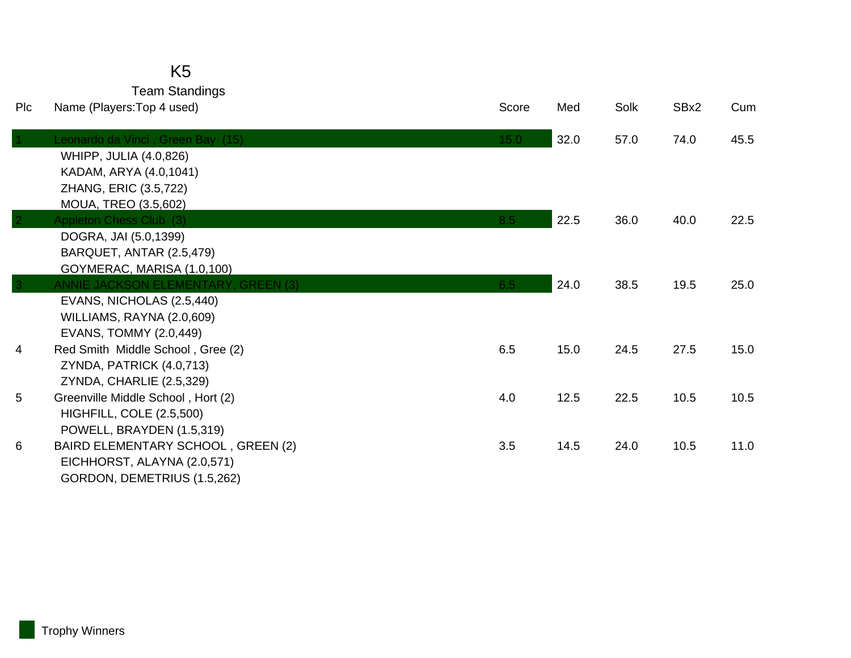| <b>PIC</b>     | Team Standings<br>Name (Players: Top 4 used)                             | Score | Med  | Solk | SBx2 | Cum  |
|----------------|--------------------------------------------------------------------------|-------|------|------|------|------|
|                |                                                                          |       |      |      |      |      |
|                | Leonardo da Vinci, Green Bay (15)                                        | 15.0  | 32.0 | 57.0 | 74.0 | 45.5 |
|                | WHIPP, JULIA (4.0,826)                                                   |       |      |      |      |      |
|                | KADAM, ARYA (4.0,1041)                                                   |       |      |      |      |      |
|                | ZHANG, ERIC (3.5,722)                                                    |       |      |      |      |      |
|                | MOUA, TREO (3.5,602)                                                     |       |      |      |      |      |
|                | Appleton Chess Club (3)                                                  | 8.5   | 22.5 | 36.0 | 40.0 | 22.5 |
|                | DOGRA, JAI (5.0,1399)                                                    |       |      |      |      |      |
|                | BARQUET, ANTAR (2.5,479)                                                 |       |      |      |      |      |
| $\overline{3}$ | GOYMERAC, MARISA (1.0,100)<br><b>ANNIE JACKSON ELEMENTARY, GREEN (3)</b> | 6.5   | 24.0 | 38.5 | 19.5 | 25.0 |
|                | EVANS, NICHOLAS (2.5,440)                                                |       |      |      |      |      |
|                | WILLIAMS, RAYNA (2.0,609)                                                |       |      |      |      |      |
|                | EVANS, TOMMY (2.0,449)                                                   |       |      |      |      |      |
| 4              | Red Smith Middle School, Gree (2)                                        | 6.5   | 15.0 | 24.5 | 27.5 | 15.0 |
|                | ZYNDA, PATRICK (4.0,713)                                                 |       |      |      |      |      |
|                | ZYNDA, CHARLIE (2.5,329)                                                 |       |      |      |      |      |
| 5              | Greenville Middle School, Hort (2)                                       | 4.0   | 12.5 | 22.5 | 10.5 | 10.5 |
|                | HIGHFILL, COLE (2.5,500)                                                 |       |      |      |      |      |
|                | POWELL, BRAYDEN (1.5,319)                                                |       |      |      |      |      |
| 6              | BAIRD ELEMENTARY SCHOOL, GREEN (2)                                       | 3.5   | 14.5 | 24.0 | 10.5 | 11.0 |
|                | EICHHORST, ALAYNA (2.0,571)                                              |       |      |      |      |      |
|                | GORDON, DEMETRIUS (1.5,262)                                              |       |      |      |      |      |

K5